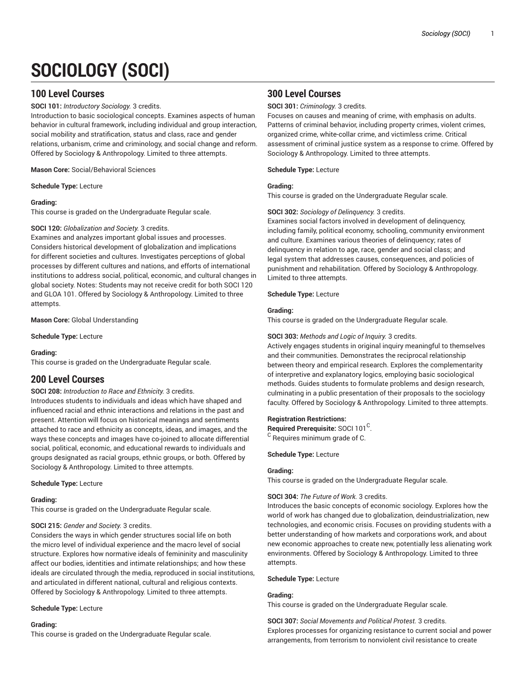# **SOCIOLOGY (SOCI)**

# **100 Level Courses**

**SOCI 101:** *Introductory Sociology.* 3 credits.

Introduction to basic sociological concepts. Examines aspects of human behavior in cultural framework, including individual and group interaction, social mobility and stratification, status and class, race and gender relations, urbanism, crime and criminology, and social change and reform. Offered by Sociology & Anthropology. Limited to three attempts.

**Mason Core:** Social/Behavioral Sciences

**Schedule Type:** Lecture

# **Grading:**

This course is graded on the Undergraduate Regular scale.

# **SOCI 120:** *Globalization and Society.* 3 credits.

Examines and analyzes important global issues and processes. Considers historical development of globalization and implications for different societies and cultures. Investigates perceptions of global processes by different cultures and nations, and efforts of international institutions to address social, political, economic, and cultural changes in global society. Notes: Students may not receive credit for both SOCI 120 and GLOA 101. Offered by Sociology & Anthropology. Limited to three attempts.

**Mason Core:** Global Understanding

**Schedule Type:** Lecture

# **Grading:**

This course is graded on the Undergraduate Regular scale.

# **200 Level Courses**

# **SOCI 208:** *Introduction to Race and Ethnicity.* 3 credits.

Introduces students to individuals and ideas which have shaped and influenced racial and ethnic interactions and relations in the past and present. Attention will focus on historical meanings and sentiments attached to race and ethnicity as concepts, ideas, and images, and the ways these concepts and images have co-joined to allocate differential social, political, economic, and educational rewards to individuals and groups designated as racial groups, ethnic groups, or both. Offered by Sociology & Anthropology. Limited to three attempts.

# **Schedule Type:** Lecture

# **Grading:**

This course is graded on the Undergraduate Regular scale.

# **SOCI 215:** *Gender and Society.* 3 credits.

Considers the ways in which gender structures social life on both the micro level of individual experience and the macro level of social structure. Explores how normative ideals of femininity and masculinity affect our bodies, identities and intimate relationships; and how these ideals are circulated through the media, reproduced in social institutions, and articulated in different national, cultural and religious contexts. Offered by Sociology & Anthropology. Limited to three attempts.

# **Schedule Type:** Lecture

# **Grading:**

This course is graded on the Undergraduate Regular scale.

# **300 Level Courses**

**SOCI 301:** *Criminology.* 3 credits.

Focuses on causes and meaning of crime, with emphasis on adults. Patterns of criminal behavior, including property crimes, violent crimes, organized crime, white-collar crime, and victimless crime. Critical assessment of criminal justice system as a response to crime. Offered by Sociology & Anthropology. Limited to three attempts.

**Schedule Type:** Lecture

# **Grading:**

This course is graded on the Undergraduate Regular scale.

# **SOCI 302:** *Sociology of Delinquency.* 3 credits.

Examines social factors involved in development of delinquency, including family, political economy, schooling, community environment and culture. Examines various theories of delinquency; rates of delinquency in relation to age, race, gender and social class; and legal system that addresses causes, consequences, and policies of punishment and rehabilitation. Offered by Sociology & Anthropology. Limited to three attempts.

**Schedule Type:** Lecture

# **Grading:**

This course is graded on the Undergraduate Regular scale.

# **SOCI 303:** *Methods and Logic of Inquiry.* 3 credits.

Actively engages students in original inquiry meaningful to themselves and their communities. Demonstrates the reciprocal relationship between theory and empirical research. Explores the complementarity of interpretive and explanatory logics, employing basic sociological methods. Guides students to formulate problems and design research, culminating in a public presentation of their proposals to the sociology faculty. Offered by Sociology & Anthropology. Limited to three attempts.

# **Registration Restrictions:**

Required Prerequisite: SOCI 101<sup>C</sup>.

<sup>C</sup> Requires minimum grade of C.

# **Schedule Type:** Lecture

# **Grading:**

This course is graded on the Undergraduate Regular scale.

# **SOCI 304:** *The Future of Work.* 3 credits.

Introduces the basic concepts of economic sociology. Explores how the world of work has changed due to globalization, deindustrialization, new technologies, and economic crisis. Focuses on providing students with a better understanding of how markets and corporations work, and about new economic approaches to create new, potentially less alienating work environments. Offered by Sociology & Anthropology. Limited to three attempts.

**Schedule Type:** Lecture

# **Grading:**

This course is graded on the Undergraduate Regular scale.

**SOCI 307:** *Social Movements and Political Protest.* 3 credits. Explores processes for organizing resistance to current social and power arrangements, from terrorism to nonviolent civil resistance to create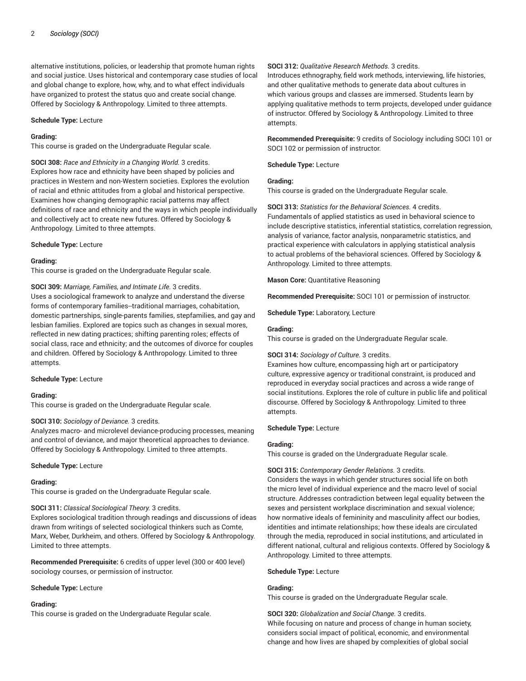alternative institutions, policies, or leadership that promote human rights and social justice. Uses historical and contemporary case studies of local and global change to explore, how, why, and to what effect individuals have organized to protest the status quo and create social change. Offered by Sociology & Anthropology. Limited to three attempts.

#### **Schedule Type:** Lecture

#### **Grading:**

This course is graded on the Undergraduate Regular scale.

**SOCI 308:** *Race and Ethnicity in a Changing World.* 3 credits. Explores how race and ethnicity have been shaped by policies and practices in Western and non-Western societies. Explores the evolution of racial and ethnic attitudes from a global and historical perspective. Examines how changing demographic racial patterns may affect definitions of race and ethnicity and the ways in which people individually and collectively act to create new futures. Offered by Sociology & Anthropology. Limited to three attempts.

#### **Schedule Type:** Lecture

#### **Grading:**

This course is graded on the Undergraduate Regular scale.

**SOCI 309:** *Marriage, Families, and Intimate Life.* 3 credits.

Uses a sociological framework to analyze and understand the diverse forms of contemporary families--traditional marriages, cohabitation, domestic partnerships, single-parents families, stepfamilies, and gay and lesbian families. Explored are topics such as changes in sexual mores, reflected in new dating practices; shifting parenting roles; effects of social class, race and ethnicity; and the outcomes of divorce for couples and children. Offered by Sociology & Anthropology. Limited to three attempts.

#### **Schedule Type:** Lecture

#### **Grading:**

This course is graded on the Undergraduate Regular scale.

#### **SOCI 310:** *Sociology of Deviance.* 3 credits.

Analyzes macro- and microlevel deviance-producing processes, meaning and control of deviance, and major theoretical approaches to deviance. Offered by Sociology & Anthropology. Limited to three attempts.

#### **Schedule Type:** Lecture

#### **Grading:**

This course is graded on the Undergraduate Regular scale.

# **SOCI 311:** *Classical Sociological Theory.* 3 credits.

Explores sociological tradition through readings and discussions of ideas drawn from writings of selected sociological thinkers such as Comte, Marx, Weber, Durkheim, and others. Offered by Sociology & Anthropology. Limited to three attempts.

**Recommended Prerequisite:** 6 credits of upper level (300 or 400 level) sociology courses, or permission of instructor.

#### **Schedule Type:** Lecture

# **Grading:**

This course is graded on the Undergraduate Regular scale.

#### **SOCI 312:** *Qualitative Research Methods.* 3 credits.

Introduces ethnography, field work methods, interviewing, life histories, and other qualitative methods to generate data about cultures in which various groups and classes are immersed. Students learn by applying qualitative methods to term projects, developed under guidance of instructor. Offered by Sociology & Anthropology. Limited to three attempts.

**Recommended Prerequisite:** 9 credits of Sociology including SOCI 101 or SOCI 102 or permission of instructor.

**Schedule Type:** Lecture

# **Grading:**

This course is graded on the Undergraduate Regular scale.

**SOCI 313:** *Statistics for the Behavioral Sciences.* 4 credits. Fundamentals of applied statistics as used in behavioral science to include descriptive statistics, inferential statistics, correlation regression, analysis of variance, factor analysis, nonparametric statistics, and practical experience with calculators in applying statistical analysis to actual problems of the behavioral sciences. Offered by Sociology & Anthropology. Limited to three attempts.

**Mason Core:** Quantitative Reasoning

**Recommended Prerequisite:** SOCI 101 or permission of instructor.

**Schedule Type:** Laboratory, Lecture

### **Grading:**

This course is graded on the Undergraduate Regular scale.

# **SOCI 314:** *Sociology of Culture.* 3 credits.

Examines how culture, encompassing high art or participatory culture, expressive agency or traditional constraint, is produced and reproduced in everyday social practices and across a wide range of social institutions. Explores the role of culture in public life and political discourse. Offered by Sociology & Anthropology. Limited to three attempts.

# **Schedule Type:** Lecture

# **Grading:**

This course is graded on the Undergraduate Regular scale.

# **SOCI 315:** *Contemporary Gender Relations.* 3 credits.

Considers the ways in which gender structures social life on both the micro level of individual experience and the macro level of social structure. Addresses contradiction between legal equality between the sexes and persistent workplace discrimination and sexual violence; how normative ideals of femininity and masculinity affect our bodies, identities and intimate relationships; how these ideals are circulated through the media, reproduced in social institutions, and articulated in different national, cultural and religious contexts. Offered by Sociology & Anthropology. Limited to three attempts.

# **Schedule Type:** Lecture

#### **Grading:**

This course is graded on the Undergraduate Regular scale.

**SOCI 320:** *Globalization and Social Change.* 3 credits. While focusing on nature and process of change in human society, considers social impact of political, economic, and environmental change and how lives are shaped by complexities of global social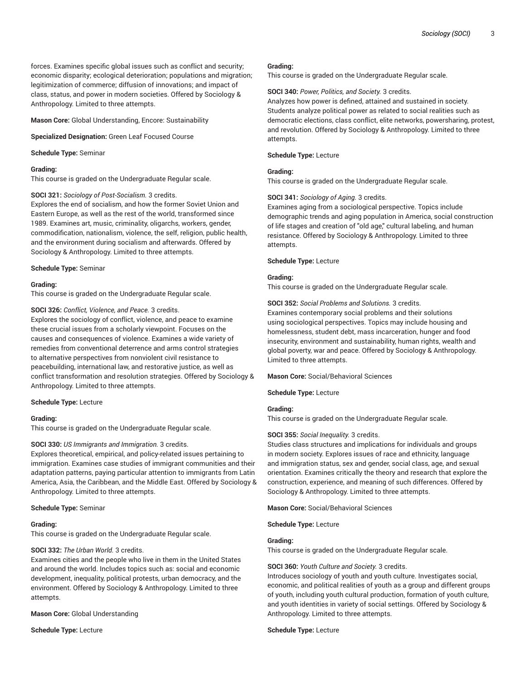forces. Examines specific global issues such as conflict and security; economic disparity; ecological deterioration; populations and migration; legitimization of commerce; diffusion of innovations; and impact of class, status, and power in modern societies. Offered by Sociology & Anthropology. Limited to three attempts.

**Mason Core:** Global Understanding, Encore: Sustainability

**Specialized Designation:** Green Leaf Focused Course

**Schedule Type:** Seminar

#### **Grading:**

This course is graded on the Undergraduate Regular scale.

# **SOCI 321:** *Sociology of Post-Socialism.* 3 credits.

Explores the end of socialism, and how the former Soviet Union and Eastern Europe, as well as the rest of the world, transformed since 1989. Examines art, music, criminality, oligarchs, workers, gender, commodification, nationalism, violence, the self, religion, public health, and the environment during socialism and afterwards. Offered by Sociology & Anthropology. Limited to three attempts.

#### **Schedule Type:** Seminar

#### **Grading:**

This course is graded on the Undergraduate Regular scale.

#### **SOCI 326:** *Conflict, Violence, and Peace.* 3 credits.

Explores the sociology of conflict, violence, and peace to examine these crucial issues from a scholarly viewpoint. Focuses on the causes and consequences of violence. Examines a wide variety of remedies from conventional deterrence and arms control strategies to alternative perspectives from nonviolent civil resistance to peacebuilding, international law, and restorative justice, as well as conflict transformation and resolution strategies. Offered by Sociology & Anthropology. Limited to three attempts.

#### **Schedule Type:** Lecture

#### **Grading:**

This course is graded on the Undergraduate Regular scale.

# **SOCI 330:** *US Immigrants and Immigration.* 3 credits.

Explores theoretical, empirical, and policy-related issues pertaining to immigration. Examines case studies of immigrant communities and their adaptation patterns, paying particular attention to immigrants from Latin America, Asia, the Caribbean, and the Middle East. Offered by Sociology & Anthropology. Limited to three attempts.

#### **Schedule Type:** Seminar

#### **Grading:**

This course is graded on the Undergraduate Regular scale.

# **SOCI 332:** *The Urban World.* 3 credits.

Examines cities and the people who live in them in the United States and around the world. Includes topics such as: social and economic development, inequality, political protests, urban democracy, and the environment. Offered by Sociology & Anthropology. Limited to three attempts.

#### **Mason Core:** Global Understanding

**Schedule Type:** Lecture

#### **Grading:**

This course is graded on the Undergraduate Regular scale.

**SOCI 340:** *Power, Politics, and Society.* 3 credits.

Analyzes how power is defined, attained and sustained in society. Students analyze political power as related to social realities such as democratic elections, class conflict, elite networks, powersharing, protest, and revolution. Offered by Sociology & Anthropology. Limited to three attempts.

**Schedule Type:** Lecture

# **Grading:**

This course is graded on the Undergraduate Regular scale.

# **SOCI 341:** *Sociology of Aging.* 3 credits.

Examines aging from a sociological perspective. Topics include demographic trends and aging population in America, social construction of life stages and creation of "old age," cultural labeling, and human resistance. Offered by Sociology & Anthropology. Limited to three attempts.

#### **Schedule Type:** Lecture

#### **Grading:**

This course is graded on the Undergraduate Regular scale.

**SOCI 352:** *Social Problems and Solutions.* 3 credits.

Examines contemporary social problems and their solutions using sociological perspectives. Topics may include housing and homelessness, student debt, mass incarceration, hunger and food insecurity, environment and sustainability, human rights, wealth and global poverty, war and peace. Offered by Sociology & Anthropology. Limited to three attempts.

**Mason Core:** Social/Behavioral Sciences

**Schedule Type:** Lecture

# **Grading:**

This course is graded on the Undergraduate Regular scale.

# **SOCI 355:** *Social Inequality.* 3 credits.

Studies class structures and implications for individuals and groups in modern society. Explores issues of race and ethnicity, language and immigration status, sex and gender, social class, age, and sexual orientation. Examines critically the theory and research that explore the construction, experience, and meaning of such differences. Offered by Sociology & Anthropology. Limited to three attempts.

**Mason Core:** Social/Behavioral Sciences

**Schedule Type:** Lecture

# **Grading:**

This course is graded on the Undergraduate Regular scale.

#### **SOCI 360:** *Youth Culture and Society.* 3 credits.

Introduces sociology of youth and youth culture. Investigates social, economic, and political realities of youth as a group and different groups of youth, including youth cultural production, formation of youth culture, and youth identities in variety of social settings. Offered by Sociology & Anthropology. Limited to three attempts.

#### **Schedule Type:** Lecture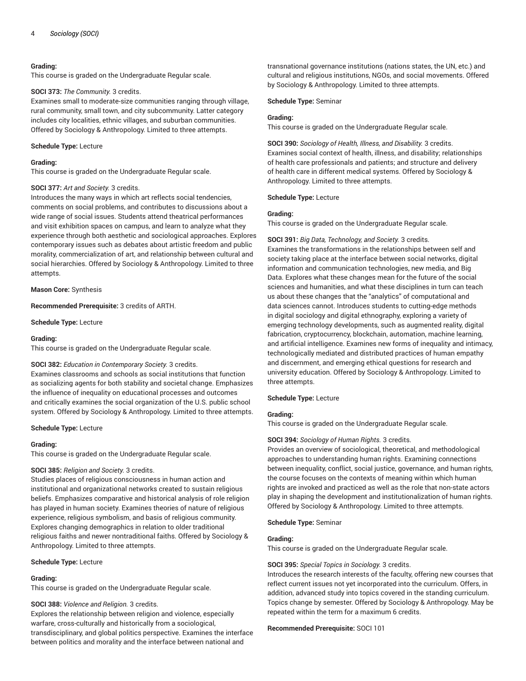# **Grading:**

This course is graded on the Undergraduate Regular scale.

#### **SOCI 373:** *The Community.* 3 credits.

Examines small to moderate-size communities ranging through village, rural community, small town, and city subcommunity. Latter category includes city localities, ethnic villages, and suburban communities. Offered by Sociology & Anthropology. Limited to three attempts.

#### **Schedule Type:** Lecture

#### **Grading:**

This course is graded on the Undergraduate Regular scale.

# **SOCI 377:** *Art and Society.* 3 credits.

Introduces the many ways in which art reflects social tendencies, comments on social problems, and contributes to discussions about a wide range of social issues. Students attend theatrical performances and visit exhibition spaces on campus, and learn to analyze what they experience through both aesthetic and sociological approaches. Explores contemporary issues such as debates about artistic freedom and public morality, commercialization of art, and relationship between cultural and social hierarchies. Offered by Sociology & Anthropology. Limited to three attempts.

**Mason Core:** Synthesis

**Recommended Prerequisite:** 3 credits of ARTH.

**Schedule Type:** Lecture

#### **Grading:**

This course is graded on the Undergraduate Regular scale.

# **SOCI 382:** *Education in Contemporary Society.* 3 credits.

Examines classrooms and schools as social institutions that function as socializing agents for both stability and societal change. Emphasizes the influence of inequality on educational processes and outcomes and critically examines the social organization of the U.S. public school system. Offered by Sociology & Anthropology. Limited to three attempts.

**Schedule Type:** Lecture

# **Grading:**

This course is graded on the Undergraduate Regular scale.

# **SOCI 385:** *Religion and Society.* 3 credits.

Studies places of religious consciousness in human action and institutional and organizational networks created to sustain religious beliefs. Emphasizes comparative and historical analysis of role religion has played in human society. Examines theories of nature of religious experience, religious symbolism, and basis of religious community. Explores changing demographics in relation to older traditional religious faiths and newer nontraditional faiths. Offered by Sociology & Anthropology. Limited to three attempts.

**Schedule Type:** Lecture

# **Grading:**

This course is graded on the Undergraduate Regular scale.

# **SOCI 388:** *Violence and Religion.* 3 credits.

Explores the relationship between religion and violence, especially warfare, cross-culturally and historically from a sociological, transdisciplinary, and global politics perspective. Examines the interface between politics and morality and the interface between national and

transnational governance institutions (nations states, the UN, etc.) and cultural and religious institutions, NGOs, and social movements. Offered by Sociology & Anthropology. Limited to three attempts.

### **Schedule Type:** Seminar

### **Grading:**

This course is graded on the Undergraduate Regular scale.

**SOCI 390:** *Sociology of Health, Illness, and Disability.* 3 credits. Examines social context of health, illness, and disability; relationships of health care professionals and patients; and structure and delivery of health care in different medical systems. Offered by Sociology & Anthropology. Limited to three attempts.

# **Schedule Type:** Lecture

#### **Grading:**

This course is graded on the Undergraduate Regular scale.

**SOCI 391:** *Big Data, Technology, and Society.* 3 credits. Examines the transformations in the relationships between self and society taking place at the interface between social networks, digital information and communication technologies, new media, and Big Data. Explores what these changes mean for the future of the social sciences and humanities, and what these disciplines in turn can teach us about these changes that the "analytics" of computational and data sciences cannot. Introduces students to cutting-edge methods in digital sociology and digital ethnography, exploring a variety of emerging technology developments, such as augmented reality, digital fabrication, cryptocurrency, blockchain, automation, machine learning, and artificial intelligence. Examines new forms of inequality and intimacy, technologically mediated and distributed practices of human empathy and discernment, and emerging ethical questions for research and university education. Offered by Sociology & Anthropology. Limited to three attempts.

# **Schedule Type:** Lecture

# **Grading:**

This course is graded on the Undergraduate Regular scale.

# **SOCI 394:** *Sociology of Human Rights.* 3 credits.

Provides an overview of sociological, theoretical, and methodological approaches to understanding human rights. Examining connections between inequality, conflict, social justice, governance, and human rights, the course focuses on the contexts of meaning within which human rights are invoked and practiced as well as the role that non-state actors play in shaping the development and institutionalization of human rights. Offered by Sociology & Anthropology. Limited to three attempts.

# **Schedule Type:** Seminar

#### **Grading:**

This course is graded on the Undergraduate Regular scale.

#### **SOCI 395:** *Special Topics in Sociology.* 3 credits.

Introduces the research interests of the faculty, offering new courses that reflect current issues not yet incorporated into the curriculum. Offers, in addition, advanced study into topics covered in the standing curriculum. Topics change by semester. Offered by Sociology & Anthropology. May be repeated within the term for a maximum 6 credits.

#### **Recommended Prerequisite:** SOCI 101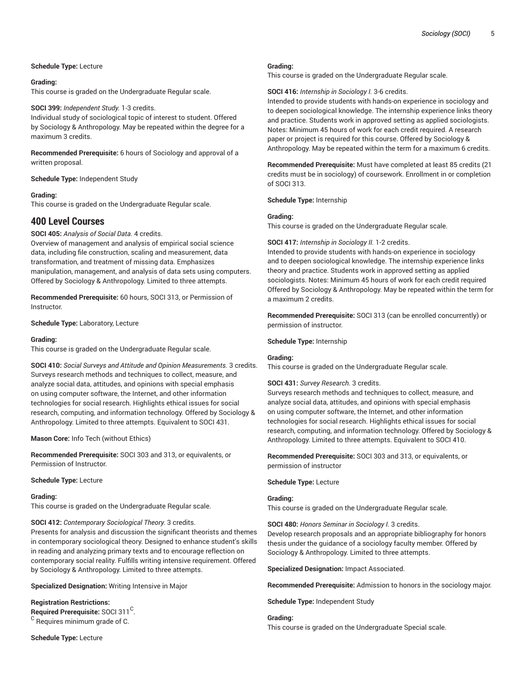# **Schedule Type:** Lecture

## **Grading:**

This course is graded on the Undergraduate Regular scale.

# **SOCI 399:** *Independent Study.* 1-3 credits.

Individual study of sociological topic of interest to student. Offered by Sociology & Anthropology. May be repeated within the degree for a maximum 3 credits.

**Recommended Prerequisite:** 6 hours of Sociology and approval of a written proposal.

**Schedule Type:** Independent Study

# **Grading:**

This course is graded on the Undergraduate Regular scale.

# **400 Level Courses**

**SOCI 405:** *Analysis of Social Data.* 4 credits.

Overview of management and analysis of empirical social science data, including file construction, scaling and measurement, data transformation, and treatment of missing data. Emphasizes manipulation, management, and analysis of data sets using computers. Offered by Sociology & Anthropology. Limited to three attempts.

**Recommended Prerequisite:** 60 hours, SOCI 313, or Permission of Instructor.

**Schedule Type:** Laboratory, Lecture

# **Grading:**

This course is graded on the Undergraduate Regular scale.

**SOCI 410:** *Social Surveys and Attitude and Opinion Measurements.* 3 credits. Surveys research methods and techniques to collect, measure, and analyze social data, attitudes, and opinions with special emphasis on using computer software, the Internet, and other information technologies for social research. Highlights ethical issues for social research, computing, and information technology. Offered by Sociology & Anthropology. Limited to three attempts. Equivalent to SOCI 431.

**Mason Core:** Info Tech (without Ethics)

**Recommended Prerequisite:** SOCI 303 and 313, or equivalents, or Permission of Instructor.

**Schedule Type:** Lecture

# **Grading:**

This course is graded on the Undergraduate Regular scale.

# **SOCI 412:** *Contemporary Sociological Theory.* 3 credits.

Presents for analysis and discussion the significant theorists and themes in contemporary sociological theory. Designed to enhance student's skills in reading and analyzing primary texts and to encourage reflection on contemporary social reality. Fulfills writing intensive requirement. Offered by Sociology & Anthropology. Limited to three attempts.

**Specialized Designation:** Writing Intensive in Major

# **Registration Restrictions:**

Required Prerequisite: SOCI 311<sup>C</sup>.  $^{\rm C}$  Requires minimum grade of C.

**Schedule Type:** Lecture

#### **Grading:**

This course is graded on the Undergraduate Regular scale.

**SOCI 416:** *Internship in Sociology I.* 3-6 credits.

Intended to provide students with hands-on experience in sociology and to deepen sociological knowledge. The internship experience links theory and practice. Students work in approved setting as applied sociologists. Notes: Minimum 45 hours of work for each credit required. A research paper or project is required for this course. Offered by Sociology & Anthropology. May be repeated within the term for a maximum 6 credits.

**Recommended Prerequisite:** Must have completed at least 85 credits (21 credits must be in sociology) of coursework. Enrollment in or completion of SOCI 313.

**Schedule Type:** Internship

#### **Grading:**

This course is graded on the Undergraduate Regular scale.

#### **SOCI 417:** *Internship in Sociology II.* 1-2 credits.

Intended to provide students with hands-on experience in sociology and to deepen sociological knowledge. The internship experience links theory and practice. Students work in approved setting as applied sociologists. Notes: Minimum 45 hours of work for each credit required Offered by Sociology & Anthropology. May be repeated within the term for a maximum 2 credits.

**Recommended Prerequisite:** SOCI 313 (can be enrolled concurrently) or permission of instructor.

#### **Schedule Type:** Internship

# **Grading:**

This course is graded on the Undergraduate Regular scale.

#### **SOCI 431:** *Survey Research.* 3 credits.

Surveys research methods and techniques to collect, measure, and analyze social data, attitudes, and opinions with special emphasis on using computer software, the Internet, and other information technologies for social research. Highlights ethical issues for social research, computing, and information technology. Offered by Sociology & Anthropology. Limited to three attempts. Equivalent to SOCI 410.

**Recommended Prerequisite:** SOCI 303 and 313, or equivalents, or permission of instructor

**Schedule Type:** Lecture

# **Grading:**

This course is graded on the Undergraduate Regular scale.

#### **SOCI 480:** *Honors Seminar in Sociology I.* 3 credits.

Develop research proposals and an appropriate bibliography for honors thesis under the guidance of a sociology faculty member. Offered by Sociology & Anthropology. Limited to three attempts.

**Specialized Designation:** Impact Associated.

**Recommended Prerequisite:** Admission to honors in the sociology major.

**Schedule Type:** Independent Study

#### **Grading:**

This course is graded on the Undergraduate Special scale.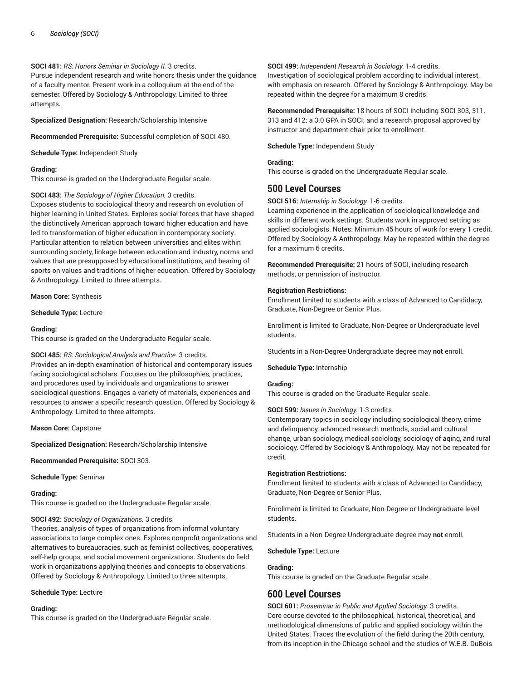# **SOCI 481:** *RS: Honors Seminar in Sociology II.* 3 credits.

Pursue independent research and write honors thesis under the guidance of a faculty mentor. Present work in a colloquium at the end of the semester. Offered by Sociology & Anthropology. Limited to three attempts.

**Specialized Designation:** Research/Scholarship Intensive

**Recommended Prerequisite:** Successful completion of SOCI 480.

**Schedule Type:** Independent Study

# **Grading:**

This course is graded on the Undergraduate Regular scale.

# **SOCI 483:** *The Sociology of Higher Education.* 3 credits.

Exposes students to sociological theory and research on evolution of higher learning in United States. Explores social forces that have shaped the distinctively American approach toward higher education and have led to transformation of higher education in contemporary society. Particular attention to relation between universities and elites within surrounding society, linkage between education and industry, norms and values that are presupposed by educational institutions, and bearing of sports on values and traditions of higher education. Offered by Sociology & Anthropology. Limited to three attempts.

# **Mason Core:** Synthesis

**Schedule Type:** Lecture

# **Grading:**

This course is graded on the Undergraduate Regular scale.

# **SOCI 485:** *RS: Sociological Analysis and Practice.* 3 credits.

Provides an in-depth examination of historical and contemporary issues facing sociological scholars. Focuses on the philosophies, practices, and procedures used by individuals and organizations to answer sociological questions. Engages a variety of materials, experiences and resources to answer a specific research question. Offered by Sociology & Anthropology. Limited to three attempts.

**Mason Core:** Capstone

**Specialized Designation:** Research/Scholarship Intensive

**Recommended Prerequisite:** SOCI 303.

**Schedule Type:** Seminar

# **Grading:**

This course is graded on the Undergraduate Regular scale.

# **SOCI 492:** *Sociology of Organizations.* 3 credits.

Theories, analysis of types of organizations from informal voluntary associations to large complex ones. Explores nonprofit organizations and alternatives to bureaucracies, such as feminist collectives, cooperatives, self-help groups, and social movement organizations. Students do field work in organizations applying theories and concepts to observations. Offered by Sociology & Anthropology. Limited to three attempts.

# **Schedule Type:** Lecture

# **Grading:**

This course is graded on the Undergraduate Regular scale.

# **SOCI 499:** *Independent Research in Sociology.* 1-4 credits.

Investigation of sociological problem according to individual interest, with emphasis on research. Offered by Sociology & Anthropology. May be repeated within the degree for a maximum 8 credits.

**Recommended Prerequisite:** 18 hours of SOCI including SOCI 303, 311, 313 and 412; a 3.0 GPA in SOCI; and a research proposal approved by instructor and department chair prior to enrollment.

**Schedule Type:** Independent Study

# **Grading:**

This course is graded on the Undergraduate Regular scale.

# **500 Level Courses**

**SOCI 516:** *Internship in Sociology.* 1-6 credits.

Learning experience in the application of sociological knowledge and skills in different work settings. Students work in approved setting as applied sociologists. Notes: Minimum 45 hours of work for every 1 credit. Offered by Sociology & Anthropology. May be repeated within the degree for a maximum 6 credits.

**Recommended Prerequisite:** 21 hours of SOCI, including research methods, or permission of instructor.

# **Registration Restrictions:**

Enrollment limited to students with a class of Advanced to Candidacy, Graduate, Non-Degree or Senior Plus.

Enrollment is limited to Graduate, Non-Degree or Undergraduate level students.

Students in a Non-Degree Undergraduate degree may **not** enroll.

# **Schedule Type:** Internship

# **Grading:**

This course is graded on the Graduate Regular scale.

# **SOCI 599:** *Issues in Sociology.* 1-3 credits.

Contemporary topics in sociology including sociological theory, crime and delinquency, advanced research methods, social and cultural change, urban sociology, medical sociology, sociology of aging, and rural sociology. Offered by Sociology & Anthropology. May not be repeated for credit.

# **Registration Restrictions:**

Enrollment limited to students with a class of Advanced to Candidacy, Graduate, Non-Degree or Senior Plus.

Enrollment is limited to Graduate, Non-Degree or Undergraduate level students.

Students in a Non-Degree Undergraduate degree may **not** enroll.

**Schedule Type:** Lecture

# **Grading:**

This course is graded on the Graduate Regular scale.

# **600 Level Courses**

**SOCI 601:** *Proseminar in Public and Applied Sociology.* 3 credits. Core course devoted to the philosophical, historical, theoretical, and methodological dimensions of public and applied sociology within the United States. Traces the evolution of the field during the 20th century, from its inception in the Chicago school and the studies of W.E.B. DuBois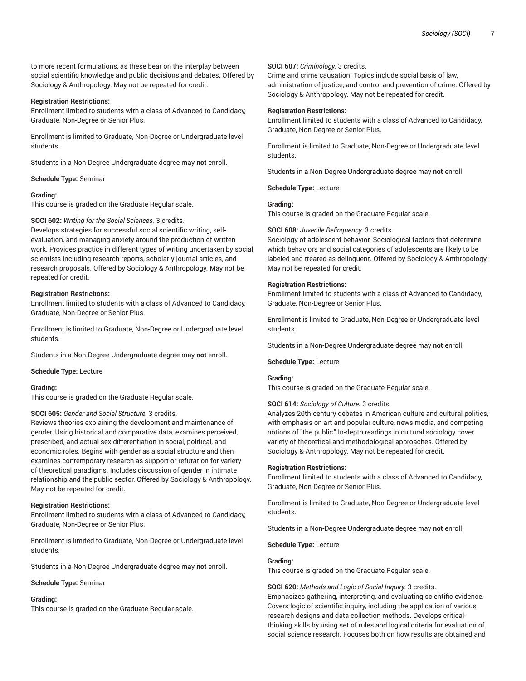to more recent formulations, as these bear on the interplay between social scientific knowledge and public decisions and debates. Offered by Sociology & Anthropology. May not be repeated for credit.

#### **Registration Restrictions:**

Enrollment limited to students with a class of Advanced to Candidacy, Graduate, Non-Degree or Senior Plus.

Enrollment is limited to Graduate, Non-Degree or Undergraduate level students.

Students in a Non-Degree Undergraduate degree may **not** enroll.

**Schedule Type:** Seminar

#### **Grading:**

This course is graded on the Graduate Regular scale.

#### **SOCI 602:** *Writing for the Social Sciences.* 3 credits.

Develops strategies for successful social scientific writing, selfevaluation, and managing anxiety around the production of written work. Provides practice in different types of writing undertaken by social scientists including research reports, scholarly journal articles, and research proposals. Offered by Sociology & Anthropology. May not be repeated for credit.

#### **Registration Restrictions:**

Enrollment limited to students with a class of Advanced to Candidacy, Graduate, Non-Degree or Senior Plus.

Enrollment is limited to Graduate, Non-Degree or Undergraduate level students.

Students in a Non-Degree Undergraduate degree may **not** enroll.

**Schedule Type:** Lecture

#### **Grading:**

This course is graded on the Graduate Regular scale.

#### **SOCI 605:** *Gender and Social Structure.* 3 credits.

Reviews theories explaining the development and maintenance of gender. Using historical and comparative data, examines perceived, prescribed, and actual sex differentiation in social, political, and economic roles. Begins with gender as a social structure and then examines contemporary research as support or refutation for variety of theoretical paradigms. Includes discussion of gender in intimate relationship and the public sector. Offered by Sociology & Anthropology. May not be repeated for credit.

#### **Registration Restrictions:**

Enrollment limited to students with a class of Advanced to Candidacy, Graduate, Non-Degree or Senior Plus.

Enrollment is limited to Graduate, Non-Degree or Undergraduate level students.

Students in a Non-Degree Undergraduate degree may **not** enroll.

**Schedule Type:** Seminar

#### **Grading:**

This course is graded on the Graduate Regular scale.

## **SOCI 607:** *Criminology.* 3 credits.

Crime and crime causation. Topics include social basis of law, administration of justice, and control and prevention of crime. Offered by Sociology & Anthropology. May not be repeated for credit.

#### **Registration Restrictions:**

Enrollment limited to students with a class of Advanced to Candidacy, Graduate, Non-Degree or Senior Plus.

Enrollment is limited to Graduate, Non-Degree or Undergraduate level students.

Students in a Non-Degree Undergraduate degree may **not** enroll.

**Schedule Type:** Lecture

# **Grading:**

This course is graded on the Graduate Regular scale.

#### **SOCI 608:** *Juvenile Delinquency.* 3 credits.

Sociology of adolescent behavior. Sociological factors that determine which behaviors and social categories of adolescents are likely to be labeled and treated as delinquent. Offered by Sociology & Anthropology. May not be repeated for credit.

# **Registration Restrictions:**

Enrollment limited to students with a class of Advanced to Candidacy, Graduate, Non-Degree or Senior Plus.

Enrollment is limited to Graduate, Non-Degree or Undergraduate level students.

Students in a Non-Degree Undergraduate degree may **not** enroll.

#### **Schedule Type:** Lecture

#### **Grading:**

This course is graded on the Graduate Regular scale.

#### **SOCI 614:** *Sociology of Culture.* 3 credits.

Analyzes 20th-century debates in American culture and cultural politics, with emphasis on art and popular culture, news media, and competing notions of "the public." In-depth readings in cultural sociology cover variety of theoretical and methodological approaches. Offered by Sociology & Anthropology. May not be repeated for credit.

#### **Registration Restrictions:**

Enrollment limited to students with a class of Advanced to Candidacy, Graduate, Non-Degree or Senior Plus.

Enrollment is limited to Graduate, Non-Degree or Undergraduate level students.

Students in a Non-Degree Undergraduate degree may **not** enroll.

#### **Schedule Type:** Lecture

# **Grading:**

This course is graded on the Graduate Regular scale.

**SOCI 620:** *Methods and Logic of Social Inquiry.* 3 credits. Emphasizes gathering, interpreting, and evaluating scientific evidence. Covers logic of scientific inquiry, including the application of various research designs and data collection methods. Develops criticalthinking skills by using set of rules and logical criteria for evaluation of social science research. Focuses both on how results are obtained and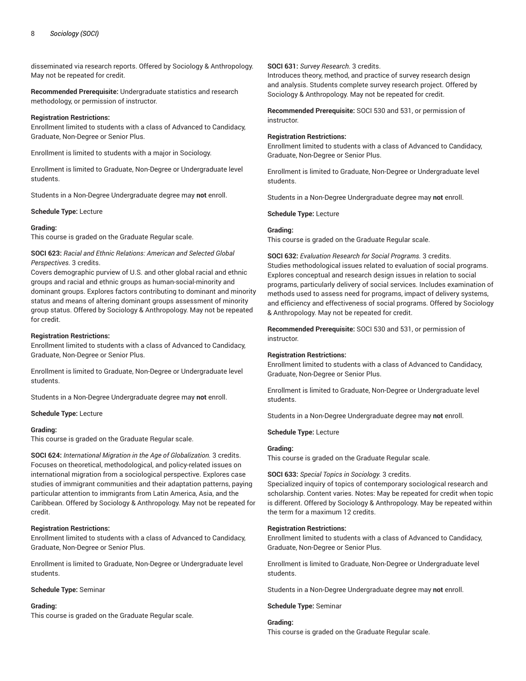disseminated via research reports. Offered by Sociology & Anthropology. May not be repeated for credit.

**Recommended Prerequisite:** Undergraduate statistics and research methodology, or permission of instructor.

#### **Registration Restrictions:**

Enrollment limited to students with a class of Advanced to Candidacy, Graduate, Non-Degree or Senior Plus.

Enrollment is limited to students with a major in Sociology.

Enrollment is limited to Graduate, Non-Degree or Undergraduate level students.

Students in a Non-Degree Undergraduate degree may **not** enroll.

#### **Schedule Type:** Lecture

# **Grading:**

This course is graded on the Graduate Regular scale.

**SOCI 623:** *Racial and Ethnic Relations: American and Selected Global Perspectives.* 3 credits.

Covers demographic purview of U.S. and other global racial and ethnic groups and racial and ethnic groups as human-social-minority and dominant groups. Explores factors contributing to dominant and minority status and means of altering dominant groups assessment of minority group status. Offered by Sociology & Anthropology. May not be repeated for credit.

#### **Registration Restrictions:**

Enrollment limited to students with a class of Advanced to Candidacy, Graduate, Non-Degree or Senior Plus.

Enrollment is limited to Graduate, Non-Degree or Undergraduate level students.

Students in a Non-Degree Undergraduate degree may **not** enroll.

**Schedule Type:** Lecture

#### **Grading:**

This course is graded on the Graduate Regular scale.

**SOCI 624:** *International Migration in the Age of Globalization.* 3 credits. Focuses on theoretical, methodological, and policy-related issues on international migration from a sociological perspective. Explores case studies of immigrant communities and their adaptation patterns, paying particular attention to immigrants from Latin America, Asia, and the Caribbean. Offered by Sociology & Anthropology. May not be repeated for credit.

# **Registration Restrictions:**

Enrollment limited to students with a class of Advanced to Candidacy, Graduate, Non-Degree or Senior Plus.

Enrollment is limited to Graduate, Non-Degree or Undergraduate level students.

#### **Schedule Type:** Seminar

#### **Grading:**

This course is graded on the Graduate Regular scale.

#### **SOCI 631:** *Survey Research.* 3 credits.

Introduces theory, method, and practice of survey research design and analysis. Students complete survey research project. Offered by Sociology & Anthropology. May not be repeated for credit.

**Recommended Prerequisite:** SOCI 530 and 531, or permission of instructor.

## **Registration Restrictions:**

Enrollment limited to students with a class of Advanced to Candidacy, Graduate, Non-Degree or Senior Plus.

Enrollment is limited to Graduate, Non-Degree or Undergraduate level students.

Students in a Non-Degree Undergraduate degree may **not** enroll.

**Schedule Type:** Lecture

# **Grading:**

This course is graded on the Graduate Regular scale.

**SOCI 632:** *Evaluation Research for Social Programs.* 3 credits. Studies methodological issues related to evaluation of social programs. Explores conceptual and research design issues in relation to social programs, particularly delivery of social services. Includes examination of methods used to assess need for programs, impact of delivery systems, and efficiency and effectiveness of social programs. Offered by Sociology & Anthropology. May not be repeated for credit.

**Recommended Prerequisite:** SOCI 530 and 531, or permission of instructor.

# **Registration Restrictions:**

Enrollment limited to students with a class of Advanced to Candidacy, Graduate, Non-Degree or Senior Plus.

Enrollment is limited to Graduate, Non-Degree or Undergraduate level students.

Students in a Non-Degree Undergraduate degree may **not** enroll.

**Schedule Type:** Lecture

#### **Grading:**

This course is graded on the Graduate Regular scale.

**SOCI 633:** *Special Topics in Sociology.* 3 credits.

Specialized inquiry of topics of contemporary sociological research and scholarship. Content varies. Notes: May be repeated for credit when topic is different. Offered by Sociology & Anthropology. May be repeated within the term for a maximum 12 credits.

#### **Registration Restrictions:**

Enrollment limited to students with a class of Advanced to Candidacy, Graduate, Non-Degree or Senior Plus.

Enrollment is limited to Graduate, Non-Degree or Undergraduate level students.

Students in a Non-Degree Undergraduate degree may **not** enroll.

#### **Schedule Type:** Seminar

**Grading:** This course is graded on the Graduate Regular scale.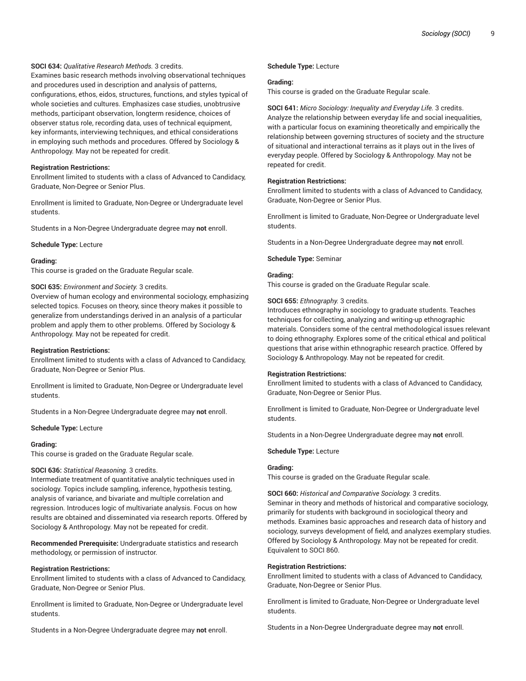# **SOCI 634:** *Qualitative Research Methods.* 3 credits.

Examines basic research methods involving observational techniques and procedures used in description and analysis of patterns, configurations, ethos, eidos, structures, functions, and styles typical of whole societies and cultures. Emphasizes case studies, unobtrusive methods, participant observation, longterm residence, choices of observer status role, recording data, uses of technical equipment, key informants, interviewing techniques, and ethical considerations in employing such methods and procedures. Offered by Sociology & Anthropology. May not be repeated for credit.

#### **Registration Restrictions:**

Enrollment limited to students with a class of Advanced to Candidacy, Graduate, Non-Degree or Senior Plus.

Enrollment is limited to Graduate, Non-Degree or Undergraduate level students.

Students in a Non-Degree Undergraduate degree may **not** enroll.

**Schedule Type:** Lecture

#### **Grading:**

This course is graded on the Graduate Regular scale.

#### **SOCI 635:** *Environment and Society.* 3 credits.

Overview of human ecology and environmental sociology, emphasizing selected topics. Focuses on theory, since theory makes it possible to generalize from understandings derived in an analysis of a particular problem and apply them to other problems. Offered by Sociology & Anthropology. May not be repeated for credit.

#### **Registration Restrictions:**

Enrollment limited to students with a class of Advanced to Candidacy, Graduate, Non-Degree or Senior Plus.

Enrollment is limited to Graduate, Non-Degree or Undergraduate level students.

Students in a Non-Degree Undergraduate degree may **not** enroll.

**Schedule Type:** Lecture

#### **Grading:**

This course is graded on the Graduate Regular scale.

#### **SOCI 636:** *Statistical Reasoning.* 3 credits.

Intermediate treatment of quantitative analytic techniques used in sociology. Topics include sampling, inference, hypothesis testing, analysis of variance, and bivariate and multiple correlation and regression. Introduces logic of multivariate analysis. Focus on how results are obtained and disseminated via research reports. Offered by Sociology & Anthropology. May not be repeated for credit.

**Recommended Prerequisite:** Undergraduate statistics and research methodology, or permission of instructor.

#### **Registration Restrictions:**

Enrollment limited to students with a class of Advanced to Candidacy, Graduate, Non-Degree or Senior Plus.

Enrollment is limited to Graduate, Non-Degree or Undergraduate level students.

Students in a Non-Degree Undergraduate degree may **not** enroll.

#### **Schedule Type:** Lecture

#### **Grading:**

This course is graded on the Graduate Regular scale.

**SOCI 641:** *Micro Sociology: Inequality and Everyday Life.* 3 credits. Analyze the relationship between everyday life and social inequalities, with a particular focus on examining theoretically and empirically the relationship between governing structures of society and the structure of situational and interactional terrains as it plays out in the lives of everyday people. Offered by Sociology & Anthropology. May not be repeated for credit.

#### **Registration Restrictions:**

Enrollment limited to students with a class of Advanced to Candidacy, Graduate, Non-Degree or Senior Plus.

Enrollment is limited to Graduate, Non-Degree or Undergraduate level students.

Students in a Non-Degree Undergraduate degree may **not** enroll.

#### **Schedule Type:** Seminar

# **Grading:**

This course is graded on the Graduate Regular scale.

#### **SOCI 655:** *Ethnography.* 3 credits.

Introduces ethnography in sociology to graduate students. Teaches techniques for collecting, analyzing and writing-up ethnographic materials. Considers some of the central methodological issues relevant to doing ethnography. Explores some of the critical ethical and political questions that arise within ethnographic research practice. Offered by Sociology & Anthropology. May not be repeated for credit.

#### **Registration Restrictions:**

Enrollment limited to students with a class of Advanced to Candidacy, Graduate, Non-Degree or Senior Plus.

Enrollment is limited to Graduate, Non-Degree or Undergraduate level students.

Students in a Non-Degree Undergraduate degree may **not** enroll.

#### **Schedule Type:** Lecture

# **Grading:**

This course is graded on the Graduate Regular scale.

**SOCI 660:** *Historical and Comparative Sociology.* 3 credits. Seminar in theory and methods of historical and comparative sociology, primarily for students with background in sociological theory and methods. Examines basic approaches and research data of history and sociology, surveys development of field, and analyzes exemplary studies. Offered by Sociology & Anthropology. May not be repeated for credit. Equivalent to SOCI 860.

# **Registration Restrictions:**

Enrollment limited to students with a class of Advanced to Candidacy, Graduate, Non-Degree or Senior Plus.

Enrollment is limited to Graduate, Non-Degree or Undergraduate level students.

Students in a Non-Degree Undergraduate degree may **not** enroll.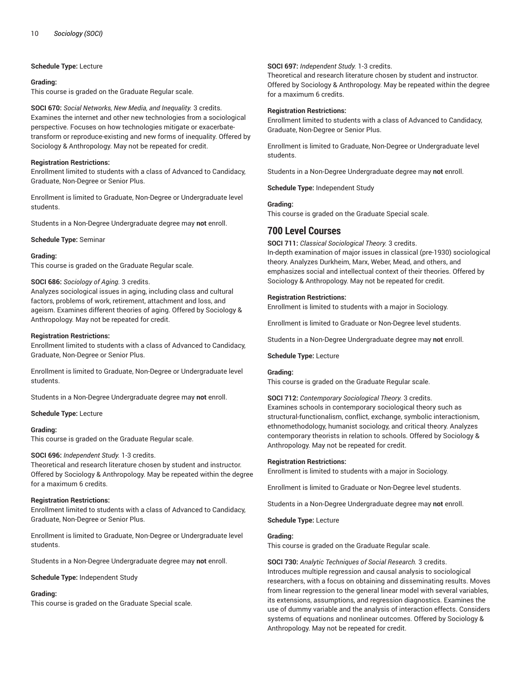# **Schedule Type:** Lecture

#### **Grading:**

This course is graded on the Graduate Regular scale.

**SOCI 670:** *Social Networks, New Media, and Inequality.* 3 credits. Examines the internet and other new technologies from a sociological perspective. Focuses on how technologies mitigate or exacerbatetransform or reproduce-existing and new forms of inequality. Offered by Sociology & Anthropology. May not be repeated for credit.

# **Registration Restrictions:**

Enrollment limited to students with a class of Advanced to Candidacy, Graduate, Non-Degree or Senior Plus.

Enrollment is limited to Graduate, Non-Degree or Undergraduate level students.

Students in a Non-Degree Undergraduate degree may **not** enroll.

**Schedule Type:** Seminar

# **Grading:**

This course is graded on the Graduate Regular scale.

# **SOCI 686:** *Sociology of Aging.* 3 credits.

Analyzes sociological issues in aging, including class and cultural factors, problems of work, retirement, attachment and loss, and ageism. Examines different theories of aging. Offered by Sociology & Anthropology. May not be repeated for credit.

# **Registration Restrictions:**

Enrollment limited to students with a class of Advanced to Candidacy, Graduate, Non-Degree or Senior Plus.

Enrollment is limited to Graduate, Non-Degree or Undergraduate level students.

Students in a Non-Degree Undergraduate degree may **not** enroll.

**Schedule Type:** Lecture

# **Grading:**

This course is graded on the Graduate Regular scale.

# **SOCI 696:** *Independent Study.* 1-3 credits.

Theoretical and research literature chosen by student and instructor. Offered by Sociology & Anthropology. May be repeated within the degree for a maximum 6 credits.

# **Registration Restrictions:**

Enrollment limited to students with a class of Advanced to Candidacy, Graduate, Non-Degree or Senior Plus.

Enrollment is limited to Graduate, Non-Degree or Undergraduate level students.

Students in a Non-Degree Undergraduate degree may **not** enroll.

**Schedule Type:** Independent Study

# **Grading:**

This course is graded on the Graduate Special scale.

# **SOCI 697:** *Independent Study.* 1-3 credits.

Theoretical and research literature chosen by student and instructor. Offered by Sociology & Anthropology. May be repeated within the degree for a maximum 6 credits.

### **Registration Restrictions:**

Enrollment limited to students with a class of Advanced to Candidacy, Graduate, Non-Degree or Senior Plus.

Enrollment is limited to Graduate, Non-Degree or Undergraduate level students.

Students in a Non-Degree Undergraduate degree may **not** enroll.

**Schedule Type:** Independent Study

# **Grading:**

This course is graded on the Graduate Special scale.

# **700 Level Courses**

**SOCI 711:** *Classical Sociological Theory.* 3 credits.

In-depth examination of major issues in classical (pre-1930) sociological theory. Analyzes Durkheim, Marx, Weber, Mead, and others, and emphasizes social and intellectual context of their theories. Offered by Sociology & Anthropology. May not be repeated for credit.

# **Registration Restrictions:**

Enrollment is limited to students with a major in Sociology.

Enrollment is limited to Graduate or Non-Degree level students.

Students in a Non-Degree Undergraduate degree may **not** enroll.

# **Schedule Type:** Lecture

# **Grading:**

This course is graded on the Graduate Regular scale.

**SOCI 712:** *Contemporary Sociological Theory.* 3 credits.

Examines schools in contemporary sociological theory such as structural-functionalism, conflict, exchange, symbolic interactionism, ethnomethodology, humanist sociology, and critical theory. Analyzes contemporary theorists in relation to schools. Offered by Sociology & Anthropology. May not be repeated for credit.

# **Registration Restrictions:**

Enrollment is limited to students with a major in Sociology.

Enrollment is limited to Graduate or Non-Degree level students.

Students in a Non-Degree Undergraduate degree may **not** enroll.

**Schedule Type:** Lecture

# **Grading:**

This course is graded on the Graduate Regular scale.

**SOCI 730:** *Analytic Techniques of Social Research.* 3 credits. Introduces multiple regression and causal analysis to sociological researchers, with a focus on obtaining and disseminating results. Moves from linear regression to the general linear model with several variables, its extensions, assumptions, and regression diagnostics. Examines the use of dummy variable and the analysis of interaction effects. Considers systems of equations and nonlinear outcomes. Offered by Sociology & Anthropology. May not be repeated for credit.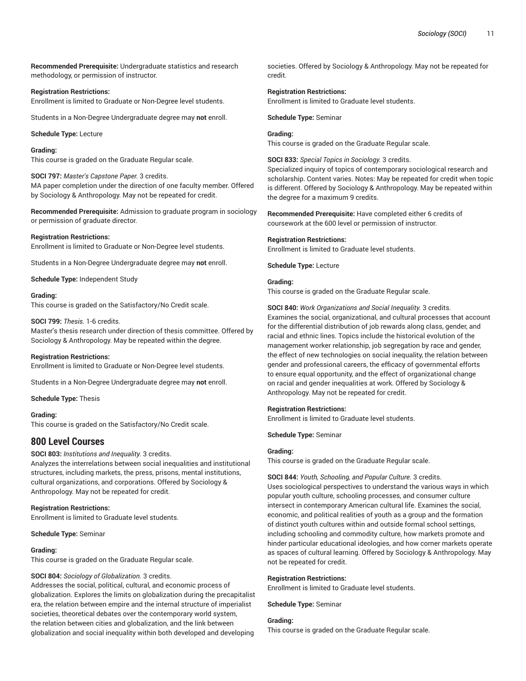**Recommended Prerequisite:** Undergraduate statistics and research methodology, or permission of instructor.

#### **Registration Restrictions:**

Enrollment is limited to Graduate or Non-Degree level students.

Students in a Non-Degree Undergraduate degree may **not** enroll.

**Schedule Type:** Lecture

# **Grading:**

This course is graded on the Graduate Regular scale.

**SOCI 797:** *Master's Capstone Paper.* 3 credits. MA paper completion under the direction of one faculty member. Offered by Sociology & Anthropology. May not be repeated for credit.

**Recommended Prerequisite:** Admission to graduate program in sociology or permission of graduate director.

#### **Registration Restrictions:**

Enrollment is limited to Graduate or Non-Degree level students.

Students in a Non-Degree Undergraduate degree may **not** enroll.

**Schedule Type:** Independent Study

#### **Grading:**

This course is graded on the Satisfactory/No Credit scale.

#### **SOCI 799:** *Thesis.* 1-6 credits.

Master's thesis research under direction of thesis committee. Offered by Sociology & Anthropology. May be repeated within the degree.

#### **Registration Restrictions:**

Enrollment is limited to Graduate or Non-Degree level students.

Students in a Non-Degree Undergraduate degree may **not** enroll.

**Schedule Type:** Thesis

**Grading:** This course is graded on the Satisfactory/No Credit scale.

# **800 Level Courses**

#### **SOCI 803:** *Institutions and Inequality.* 3 credits.

Analyzes the interrelations between social inequalities and institutional structures, including markets, the press, prisons, mental institutions, cultural organizations, and corporations. Offered by Sociology & Anthropology. May not be repeated for credit.

#### **Registration Restrictions:**

Enrollment is limited to Graduate level students.

**Schedule Type:** Seminar

#### **Grading:**

This course is graded on the Graduate Regular scale.

#### **SOCI 804:** *Sociology of Globalization.* 3 credits.

Addresses the social, political, cultural, and economic process of globalization. Explores the limits on globalization during the precapitalist era, the relation between empire and the internal structure of imperialist societies, theoretical debates over the contemporary world system, the relation between cities and globalization, and the link between globalization and social inequality within both developed and developing

societies. Offered by Sociology & Anthropology. May not be repeated for credit.

#### **Registration Restrictions:**

Enrollment is limited to Graduate level students.

**Schedule Type:** Seminar

#### **Grading:**

This course is graded on the Graduate Regular scale.

**SOCI 833:** *Special Topics in Sociology.* 3 credits.

Specialized inquiry of topics of contemporary sociological research and scholarship. Content varies. Notes: May be repeated for credit when topic is different. Offered by Sociology & Anthropology. May be repeated within the degree for a maximum 9 credits.

**Recommended Prerequisite:** Have completed either 6 credits of coursework at the 600 level or permission of instructor.

#### **Registration Restrictions:**

Enrollment is limited to Graduate level students.

**Schedule Type:** Lecture

# **Grading:**

This course is graded on the Graduate Regular scale.

**SOCI 840:** *Work Organizations and Social Inequality.* 3 credits. Examines the social, organizational, and cultural processes that account for the differential distribution of job rewards along class, gender, and racial and ethnic lines. Topics include the historical evolution of the management worker relationship, job segregation by race and gender, the effect of new technologies on social inequality, the relation between gender and professional careers, the efficacy of governmental efforts to ensure equal opportunity, and the effect of organizational change on racial and gender inequalities at work. Offered by Sociology & Anthropology. May not be repeated for credit.

#### **Registration Restrictions:**

Enrollment is limited to Graduate level students.

**Schedule Type:** Seminar

#### **Grading:**

This course is graded on the Graduate Regular scale.

**SOCI 844:** *Youth, Schooling, and Popular Culture.* 3 credits. Uses sociological perspectives to understand the various ways in which popular youth culture, schooling processes, and consumer culture intersect in contemporary American cultural life. Examines the social, economic, and political realities of youth as a group and the formation of distinct youth cultures within and outside formal school settings, including schooling and commodity culture, how markets promote and hinder particular educational ideologies, and how corner markets operate as spaces of cultural learning. Offered by Sociology & Anthropology. May not be repeated for credit.

#### **Registration Restrictions:**

Enrollment is limited to Graduate level students.

**Schedule Type:** Seminar

# **Grading:**

This course is graded on the Graduate Regular scale.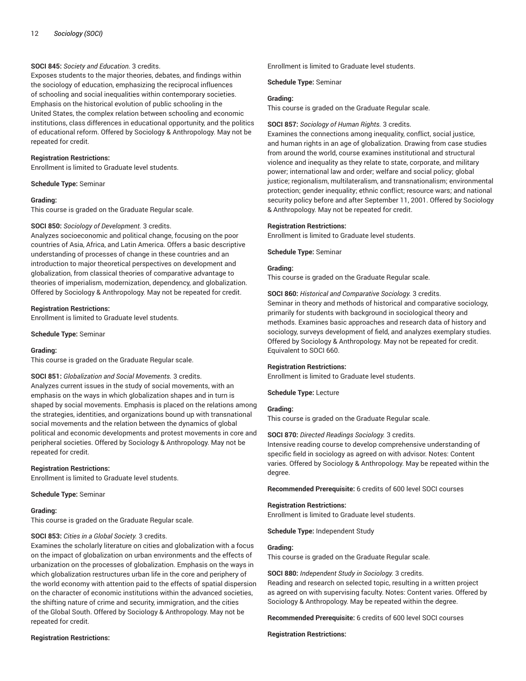# **SOCI 845:** *Society and Education.* 3 credits.

Exposes students to the major theories, debates, and findings within the sociology of education, emphasizing the reciprocal influences of schooling and social inequalities within contemporary societies. Emphasis on the historical evolution of public schooling in the United States, the complex relation between schooling and economic institutions, class differences in educational opportunity, and the politics of educational reform. Offered by Sociology & Anthropology. May not be repeated for credit.

### **Registration Restrictions:**

Enrollment is limited to Graduate level students.

#### **Schedule Type:** Seminar

#### **Grading:**

This course is graded on the Graduate Regular scale.

# **SOCI 850:** *Sociology of Development.* 3 credits.

Analyzes socioeconomic and political change, focusing on the poor countries of Asia, Africa, and Latin America. Offers a basic descriptive understanding of processes of change in these countries and an introduction to major theoretical perspectives on development and globalization, from classical theories of comparative advantage to theories of imperialism, modernization, dependency, and globalization. Offered by Sociology & Anthropology. May not be repeated for credit.

#### **Registration Restrictions:**

Enrollment is limited to Graduate level students.

**Schedule Type:** Seminar

# **Grading:**

This course is graded on the Graduate Regular scale.

#### **SOCI 851:** *Globalization and Social Movements.* 3 credits.

Analyzes current issues in the study of social movements, with an emphasis on the ways in which globalization shapes and in turn is shaped by social movements. Emphasis is placed on the relations among the strategies, identities, and organizations bound up with transnational social movements and the relation between the dynamics of global political and economic developments and protest movements in core and peripheral societies. Offered by Sociology & Anthropology. May not be repeated for credit.

# **Registration Restrictions:**

Enrollment is limited to Graduate level students.

**Schedule Type:** Seminar

#### **Grading:**

This course is graded on the Graduate Regular scale.

# **SOCI 853:** *Cities in a Global Society.* 3 credits.

Examines the scholarly literature on cities and globalization with a focus on the impact of globalization on urban environments and the effects of urbanization on the processes of globalization. Emphasis on the ways in which globalization restructures urban life in the core and periphery of the world economy with attention paid to the effects of spatial dispersion on the character of economic institutions within the advanced societies, the shifting nature of crime and security, immigration, and the cities of the Global South. Offered by Sociology & Anthropology. May not be repeated for credit.

#### **Registration Restrictions:**

Enrollment is limited to Graduate level students.

**Schedule Type:** Seminar

### **Grading:**

This course is graded on the Graduate Regular scale.

#### **SOCI 857:** *Sociology of Human Rights.* 3 credits.

Examines the connections among inequality, conflict, social justice, and human rights in an age of globalization. Drawing from case studies from around the world, course examines institutional and structural violence and inequality as they relate to state, corporate, and military power; international law and order; welfare and social policy; global justice; regionalism, multilateralism, and transnationalism; environmental protection; gender inequality; ethnic conflict; resource wars; and national security policy before and after September 11, 2001. Offered by Sociology & Anthropology. May not be repeated for credit.

#### **Registration Restrictions:**

Enrollment is limited to Graduate level students.

**Schedule Type:** Seminar

# **Grading:**

This course is graded on the Graduate Regular scale.

**SOCI 860:** *Historical and Comparative Sociology.* 3 credits. Seminar in theory and methods of historical and comparative sociology, primarily for students with background in sociological theory and methods. Examines basic approaches and research data of history and sociology, surveys development of field, and analyzes exemplary studies. Offered by Sociology & Anthropology. May not be repeated for credit. Equivalent to SOCI 660.

# **Registration Restrictions:**

Enrollment is limited to Graduate level students.

**Schedule Type:** Lecture

# **Grading:**

This course is graded on the Graduate Regular scale.

#### **SOCI 870:** *Directed Readings Sociology.* 3 credits.

Intensive reading course to develop comprehensive understanding of specific field in sociology as agreed on with advisor. Notes: Content varies. Offered by Sociology & Anthropology. May be repeated within the degree.

**Recommended Prerequisite:** 6 credits of 600 level SOCI courses

#### **Registration Restrictions:**

Enrollment is limited to Graduate level students.

**Schedule Type:** Independent Study

# **Grading:**

This course is graded on the Graduate Regular scale.

**SOCI 880:** *Independent Study in Sociology.* 3 credits.

Reading and research on selected topic, resulting in a written project as agreed on with supervising faculty. Notes: Content varies. Offered by Sociology & Anthropology. May be repeated within the degree.

**Recommended Prerequisite:** 6 credits of 600 level SOCI courses

#### **Registration Restrictions:**